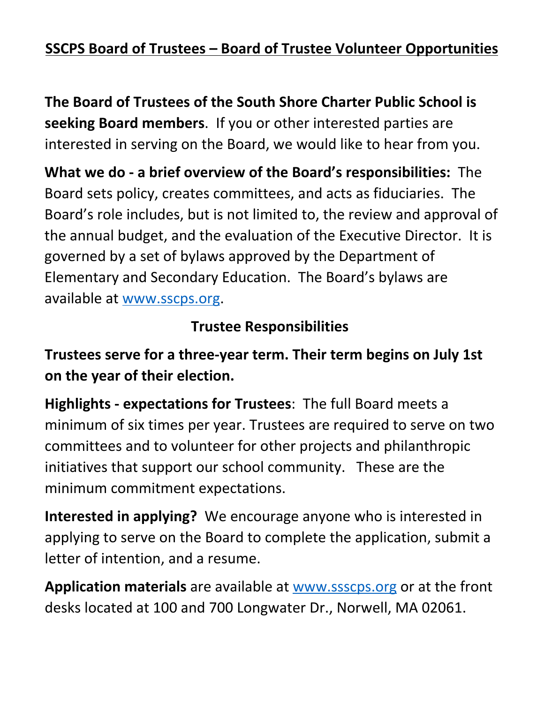## **SSCPS Board of Trustees – Board of Trustee Volunteer Opportunities**

**The Board of Trustees of the South Shore Charter Public School is seeking Board members**. If you or other interested parties are interested in serving on the Board, we would like to hear from you.

**What we do - a brief overview of the Board's responsibilities:** The Board sets policy, creates committees, and acts as fiduciaries. The Board's role includes, but is not limited to, the review and approval of the annual budget, and the evaluation of the Executive Director. It is governed by a set of bylaws approved by the Department of Elementary and Secondary Education. The Board's bylaws are available at [www.sscps.org.](http://www.sscps.org)

## **Trustee Responsibilities**

**Trustees serve for a three-year term. Their term begins on July 1st on the year of their election.**

**Highlights - expectations for Trustees**: The full Board meets a minimum of six times per year. Trustees are required to serve on two committees and to volunteer for other projects and philanthropic initiatives that support our school community. These are the minimum commitment expectations.

**Interested in applying?** We encourage anyone who is interested in applying to serve on the Board to complete the application, submit a letter of intention, and a resume.

**Application materials** are available at [www.ssscps.org](http://www.ssscps.org) or at the front desks located at 100 and 700 Longwater Dr., Norwell, MA 02061.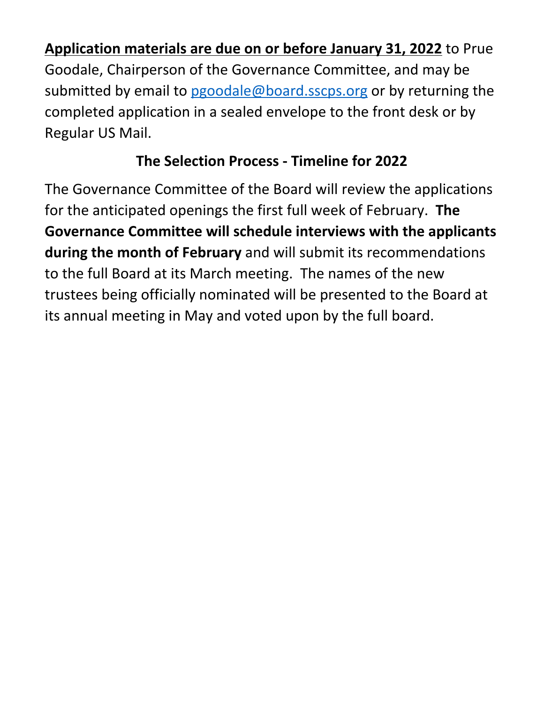**Application materials are due on or before January 31, 2022** to Prue Goodale, Chairperson of the Governance Committee, and may be submitted by email to [pgoodale@board.sscps.org](mailto:pgoodale@board.sscps.org) or by returning the completed application in a sealed envelope to the front desk or by Regular US Mail.

## **The Selection Process - Timeline for 2022**

The Governance Committee of the Board will review the applications for the anticipated openings the first full week of February. **The Governance Committee will schedule interviews with the applicants during the month of February** and will submit its recommendations to the full Board at its March meeting. The names of the new trustees being officially nominated will be presented to the Board at its annual meeting in May and voted upon by the full board.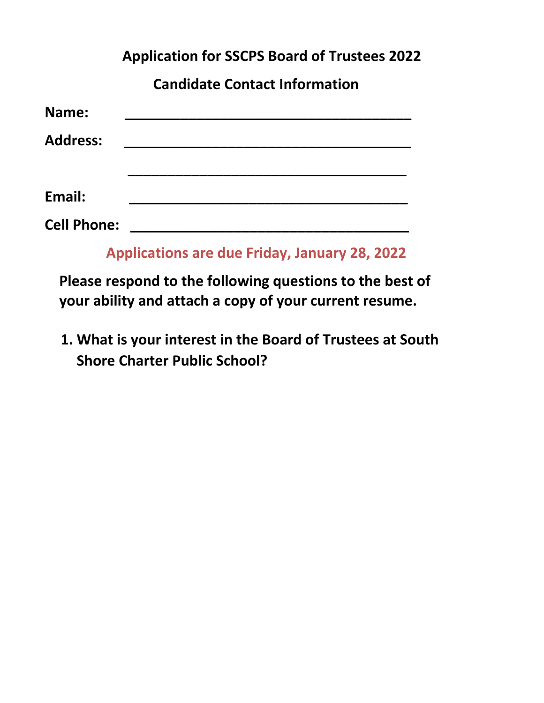**Application for SSCPS Board of Trustees 2022**

 **Candidate Contact Information**

| Name:              |                                                      |
|--------------------|------------------------------------------------------|
| <b>Address:</b>    |                                                      |
|                    |                                                      |
| Email:             |                                                      |
| <b>Cell Phone:</b> |                                                      |
|                    | $\blacksquare$ is a set of the set of $\blacksquare$ |

 **Applications are due Friday, January 28, 2022**

 **Please respond to the following questions to the best of your ability and attach a copy of your current resume.**

**1. What is your interest in the Board of Trustees at South Shore Charter Public School?**